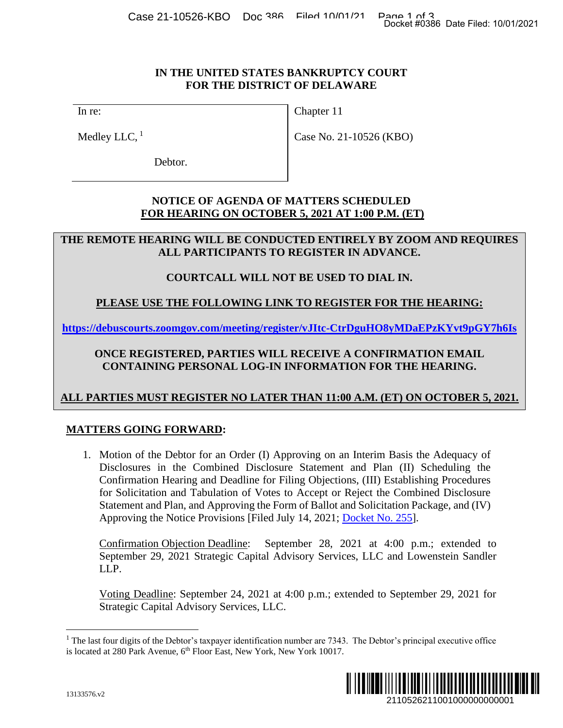#### **IN THE UNITED STATES BANKRUPTCY COURT FOR THE DISTRICT OF DELAWARE**

In re:

Medley LLC,  $<sup>1</sup>$ </sup>

Chapter 11

Case No. 21-10526 (KBO)

Debtor.

### **NOTICE OF AGENDA OF MATTERS SCHEDULED FOR HEARING ON OCTOBER 5, 2021 AT 1:00 P.M. (ET)**

### **THE REMOTE HEARING WILL BE CONDUCTED ENTIRELY BY ZOOM AND REQUIRES ALL PARTICIPANTS TO REGISTER IN ADVANCE.**

## **COURTCALL WILL NOT BE USED TO DIAL IN.**

# **PLEASE USE THE FOLLOWING LINK TO REGISTER FOR THE HEARING:**

**https://debuscourts.zoomgov.com/meeting/register/vJItc-CtrDguHO8yMDaEPzKYvt9pGY7h6Is**

### **ONCE REGISTERED, PARTIES WILL RECEIVE A CONFIRMATION EMAIL CONTAINING PERSONAL LOG-IN INFORMATION FOR THE HEARING.**

# **ALL PARTIES MUST REGISTER NO LATER THAN 11:00 A.M. (ET) ON OCTOBER 5, 2021.**

## **MATTERS GOING FORWARD:**

1. Motion of the Debtor for an Order (I) Approving on an Interim Basis the Adequacy of Disclosures in the Combined Disclosure Statement and Plan (II) Scheduling the Confirmation Hearing and Deadline for Filing Objections, (III) Establishing Procedures for Solicitation and Tabulation of Votes to Accept or Reject the Combined Disclosure Statement and Plan, and Approving the Form of Ballot and Solicitation Package, and (IV) Approving the Notice Provisions [Filed July 14, 2021; [Docket No. 255\]](https://ecf.deb.uscourts.gov/doc1/042019904065). 2110526211001000000000001 Docket #0386 Date Filed: 10/01/2021

Confirmation Objection Deadline: September 28, 2021 at 4:00 p.m.; extended to September 29, 2021 Strategic Capital Advisory Services, LLC and Lowenstein Sandler LLP.

Voting Deadline: September 24, 2021 at 4:00 p.m.; extended to September 29, 2021 for Strategic Capital Advisory Services, LLC.

<sup>&</sup>lt;sup>1</sup> The last four digits of the Debtor's taxpayer identification number are 7343. The Debtor's principal executive office is located at 280 Park Avenue, 6<sup>th</sup> Floor East, New York, New York 10017.

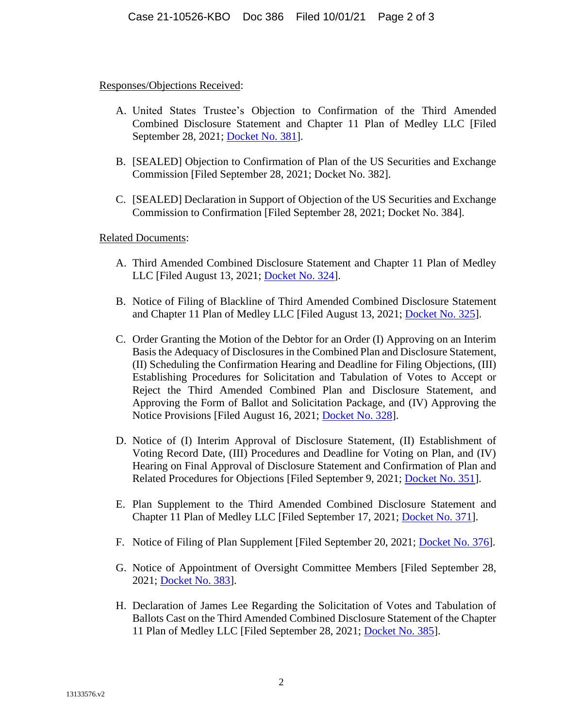#### Responses/Objections Received:

- A. United States Trustee's Objection to Confirmation of the Third Amended Combined Disclosure Statement and Chapter 11 Plan of Medley LLC [Filed September 28, 2021; [Docket No. 381\]](https://ecf.deb.uscourts.gov/doc1/042020050358).
- B. [SEALED] Objection to Confirmation of Plan of the US Securities and Exchange Commission [Filed September 28, 2021; Docket No. 382].
- C. [SEALED] Declaration in Support of Objection of the US Securities and Exchange Commission to Confirmation [Filed September 28, 2021; Docket No. 384].

Related Documents:

- A. Third Amended Combined Disclosure Statement and Chapter 11 Plan of Medley LLC [Filed August 13, 2021; [Docket No. 324\]](https://ecf.deb.uscourts.gov/doc1/042019961108).
- B. Notice of Filing of Blackline of Third Amended Combined Disclosure Statement and Chapter 11 Plan of Medley LLC [Filed August 13, 2021; [Docket No. 325\]](https://ecf.deb.uscourts.gov/doc1/042019961167).
- C. Order Granting the Motion of the Debtor for an Order (I) Approving on an Interim Basis the Adequacy of Disclosures in the Combined Plan and Disclosure Statement, (II) Scheduling the Confirmation Hearing and Deadline for Filing Objections, (III) Establishing Procedures for Solicitation and Tabulation of Votes to Accept or Reject the Third Amended Combined Plan and Disclosure Statement, and Approving the Form of Ballot and Solicitation Package, and (IV) Approving the Notice Provisions [Filed August 16, 2021; [Docket No. 328\]](https://ecf.deb.uscourts.gov/doc1/042019962758).
- D. Notice of (I) Interim Approval of Disclosure Statement, (II) Establishment of Voting Record Date, (III) Procedures and Deadline for Voting on Plan, and (IV) Hearing on Final Approval of Disclosure Statement and Confirmation of Plan and Related Procedures for Objections [Filed September 9, 2021; [Docket No. 351\]](https://ecf.deb.uscourts.gov/doc1/042020015331).
- E. Plan Supplement to the Third Amended Combined Disclosure Statement and Chapter 11 Plan of Medley LLC [Filed September 17, 2021; [Docket No. 371\]](https://ecf.deb.uscourts.gov/doc1/042020028704).
- F. Notice of Filing of Plan Supplement [Filed September 20, 2021; [Docket No. 376\]](https://ecf.deb.uscourts.gov/doc1/042020033149).
- G. Notice of Appointment of Oversight Committee Members [Filed September 28, 2021; [Docket No. 383\]](https://ecf.deb.uscourts.gov/doc1/042020050469).
- H. Declaration of James Lee Regarding the Solicitation of Votes and Tabulation of Ballots Cast on the Third Amended Combined Disclosure Statement of the Chapter 11 Plan of Medley LLC [Filed September 28, 2021; [Docket No. 385\]](https://ecf.deb.uscourts.gov/doc1/042020050615).